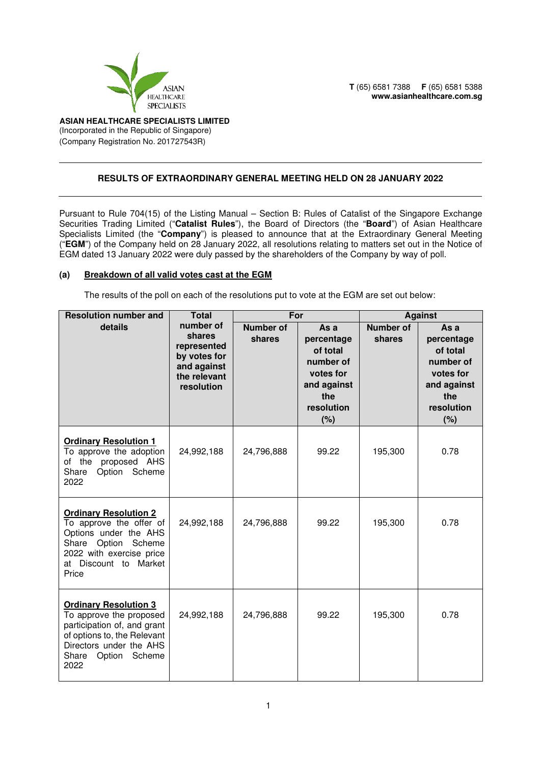

(Incorporated in the Republic of Singapore) (Company Registration No. 201727543R) **ASIAN HEALTHCARE SPECIALISTS LIMITED**

## **RESULTS OF EXTRAORDINARY GENERAL MEETING HELD ON 28 JANUARY 2022**

Pursuant to Rule 704(15) of the Listing Manual – Section B: Rules of Catalist of the Singapore Exchange Securities Trading Limited ("**Catalist Rules**"), the Board of Directors (the "**Board**") of Asian Healthcare Specialists Limited (the "**Company**") is pleased to announce that at the Extraordinary General Meeting ("**EGM**") of the Company held on 28 January 2022, all resolutions relating to matters set out in the Notice of EGM dated 13 January 2022 were duly passed by the shareholders of the Company by way of poll.

## **(a) Breakdown of all valid votes cast at the EGM**

The results of the poll on each of the resolutions put to vote at the EGM are set out below:

| <b>Resolution number and</b>                                                                                                                                                          | <b>Total</b>                                                                                    | For                        |                                                                                                     | <b>Against</b>             |                                                                                                     |
|---------------------------------------------------------------------------------------------------------------------------------------------------------------------------------------|-------------------------------------------------------------------------------------------------|----------------------------|-----------------------------------------------------------------------------------------------------|----------------------------|-----------------------------------------------------------------------------------------------------|
| details                                                                                                                                                                               | number of<br>shares<br>represented<br>by votes for<br>and against<br>the relevant<br>resolution | <b>Number of</b><br>shares | As a<br>percentage<br>of total<br>number of<br>votes for<br>and against<br>the<br>resolution<br>(%) | <b>Number of</b><br>shares | As a<br>percentage<br>of total<br>number of<br>votes for<br>and against<br>the<br>resolution<br>(%) |
| <b>Ordinary Resolution 1</b><br>To approve the adoption<br>of the proposed AHS<br>Option<br>Share<br>Scheme<br>2022                                                                   | 24,992,188                                                                                      | 24,796,888                 | 99.22                                                                                               | 195,300                    | 0.78                                                                                                |
| <b>Ordinary Resolution 2</b><br>To approve the offer of<br>Options under the AHS<br>Share Option Scheme<br>2022 with exercise price<br>at Discount to Market<br>Price                 | 24,992,188                                                                                      | 24,796,888                 | 99.22                                                                                               | 195,300                    | 0.78                                                                                                |
| <b>Ordinary Resolution 3</b><br>To approve the proposed<br>participation of, and grant<br>of options to, the Relevant<br>Directors under the AHS<br>Share<br>Option<br>Scheme<br>2022 | 24,992,188                                                                                      | 24,796,888                 | 99.22                                                                                               | 195,300                    | 0.78                                                                                                |